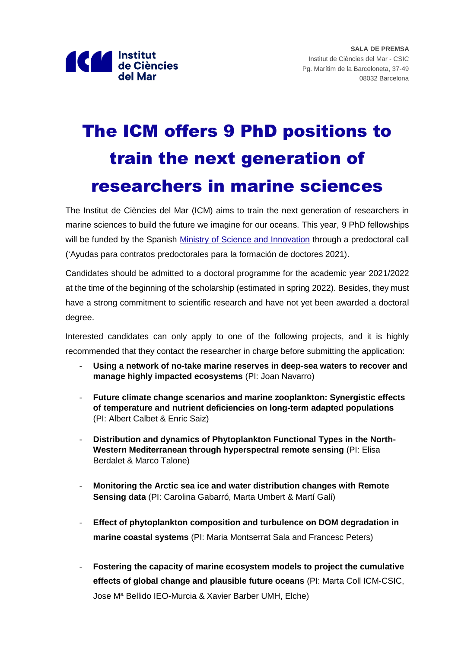

# The ICM offers 9 PhD positions to train the next generation of researchers in marine sciences

The Institut de Ciències del Mar (ICM) aims to train the next generation of researchers in marine sciences to build the future we imagine for our oceans. This year, 9 PhD fellowships will be funded by the Spanish [Ministry of Science and Innovation](https://www.ciencia.gob.es/portal/site/MICINN/menuitem.abd9b51cad64425c8674c210a14041a0/?vgnextoid=d9581f4368aef110VgnVCM1000001034e20aRCRD&vgnextfmt=default) through a predoctoral call ('Ayudas para contratos predoctorales para la formación de doctores 2021).

Candidates should be admitted to a doctoral programme for the academic year 2021/2022 at the time of the beginning of the scholarship (estimated in spring 2022). Besides, they must have a strong commitment to scientific research and have not yet been awarded a doctoral degree.

Interested candidates can only apply to one of the following projects, and it is highly recommended that they contact the researcher in charge before submitting the application:

- Using a network of no-take marine reserves in deep-sea waters to recover and **manage highly impacted ecosystems** (PI: Joan Navarro)
- **Future climate change scenarios and marine zooplankton: Synergistic effects of temperature and nutrient deficiencies on long-term adapted populations** (PI: Albert Calbet & Enric Saiz)
- **Distribution and dynamics of Phytoplankton Functional Types in the North-Western Mediterranean through hyperspectral remote sensing** (PI: Elisa Berdalet & Marco Talone)
- **Monitoring the Arctic sea ice and water distribution changes with Remote Sensing data** (PI: Carolina Gabarró, Marta Umbert & Martí Galí)
- **Effect of phytoplankton composition and turbulence on DOM degradation in marine coastal systems** (PI: Maria Montserrat Sala and Francesc Peters)
- **Fostering the capacity of marine ecosystem models to project the cumulative effects of global change and plausible future oceans** (PI: Marta Coll ICM-CSIC, Jose Mª Bellido IEO-Murcia & Xavier Barber UMH, Elche)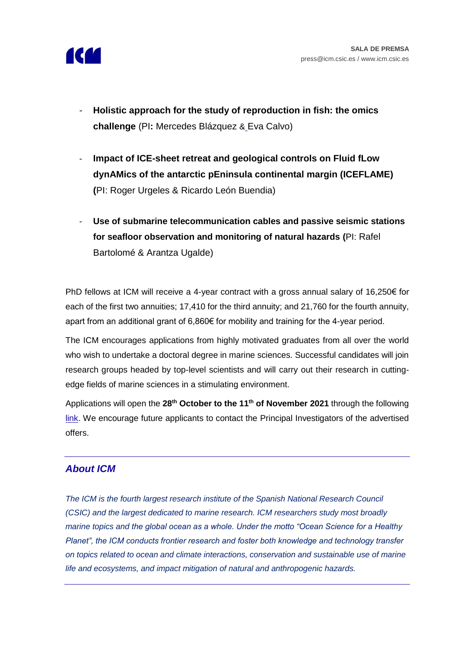

- **Holistic approach for the study of reproduction in fish: the omics challenge** (PI**:** Mercedes Blázquez & Eva Calvo)
- **Impact of ICE-sheet retreat and geological controls on Fluid fLow dynAMics of the antarctic pEninsula continental margin (ICEFLAME) (**PI: Roger Urgeles & Ricardo León Buendia)
- Use of submarine telecommunication cables and passive seismic stations **for seafloor observation and monitoring of natural hazards (**PI: Rafel Bartolomé & Arantza Ugalde)

PhD fellows at ICM will receive a 4-year contract with a gross annual salary of 16,250€ for each of the first two annuities; 17,410 for the third annuity; and 21,760 for the fourth annuity, apart from an additional grant of 6,860€ for mobility and training for the 4-year period.

The ICM encourages applications from highly motivated graduates from all over the world who wish to undertake a doctoral degree in marine sciences. Successful candidates will join research groups headed by top-level scientists and will carry out their research in cuttingedge fields of marine sciences in a stimulating environment.

Applications will open the **28th October to the 11th of November 2021** through the following [link.](http://www.aei.gob.es/portal/site/MICINN/menuitem.dbc68b34d11ccbd5d52ffeb801432ea0/?vgnextoid=4c6c68d98570c710VgnVCM1000001d04140aRCRD&vgnextchannel=305938bc8423c710VgnVCM1000001d04140aRCRD) We encourage future applicants to contact the Principal Investigators of the advertised offers.

# *About ICM*

*The ICM is the fourth largest research institute of the Spanish National Research Council (CSIC) and the largest dedicated to marine research. ICM researchers study most broadly marine topics and the global ocean as a whole. Under the motto "Ocean Science for a Healthy Planet", the ICM conducts frontier research and foster both knowledge and technology transfer on topics related to ocean and climate interactions, conservation and sustainable use of marine life and ecosystems, and impact mitigation of natural and anthropogenic hazards.*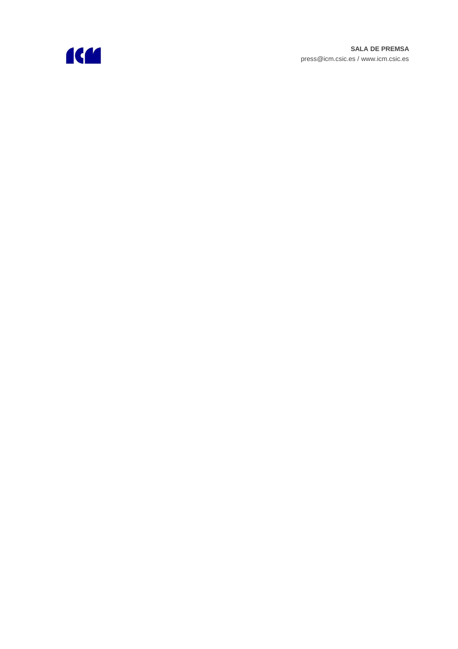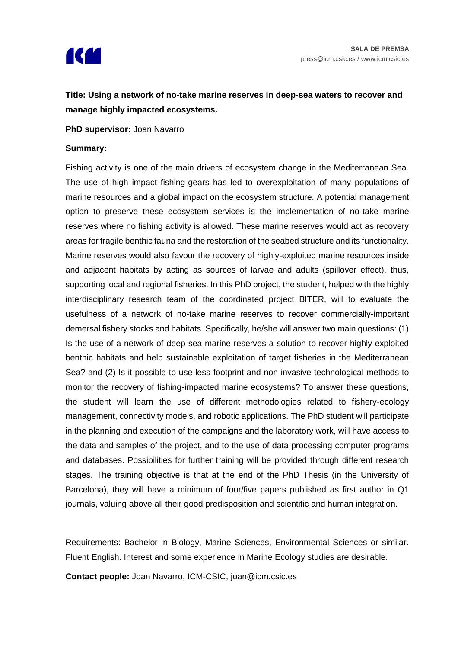

**Title: Using a network of no-take marine reserves in deep-sea waters to recover and manage highly impacted ecosystems.**

**PhD supervisor:** Joan Navarro

#### **Summary:**

Fishing activity is one of the main drivers of ecosystem change in the Mediterranean Sea. The use of high impact fishing-gears has led to overexploitation of many populations of marine resources and a global impact on the ecosystem structure. A potential management option to preserve these ecosystem services is the implementation of no-take marine reserves where no fishing activity is allowed. These marine reserves would act as recovery areas for fragile benthic fauna and the restoration of the seabed structure and its functionality. Marine reserves would also favour the recovery of highly-exploited marine resources inside and adjacent habitats by acting as sources of larvae and adults (spillover effect), thus, supporting local and regional fisheries. In this PhD project, the student, helped with the highly interdisciplinary research team of the coordinated project BITER, will to evaluate the usefulness of a network of no-take marine reserves to recover commercially-important demersal fishery stocks and habitats. Specifically, he/she will answer two main questions: (1) Is the use of a network of deep-sea marine reserves a solution to recover highly exploited benthic habitats and help sustainable exploitation of target fisheries in the Mediterranean Sea? and (2) Is it possible to use less-footprint and non-invasive technological methods to monitor the recovery of fishing-impacted marine ecosystems? To answer these questions, the student will learn the use of different methodologies related to fishery-ecology management, connectivity models, and robotic applications. The PhD student will participate in the planning and execution of the campaigns and the laboratory work, will have access to the data and samples of the project, and to the use of data processing computer programs and databases. Possibilities for further training will be provided through different research stages. The training objective is that at the end of the PhD Thesis (in the University of Barcelona), they will have a minimum of four/five papers published as first author in Q1 journals, valuing above all their good predisposition and scientific and human integration.

Requirements: Bachelor in Biology, Marine Sciences, Environmental Sciences or similar. Fluent English. Interest and some experience in Marine Ecology studies are desirable.

**Contact people:** Joan Navarro, ICM-CSIC, [joan@icm.csic.es](mailto:joan@icm.csic.es)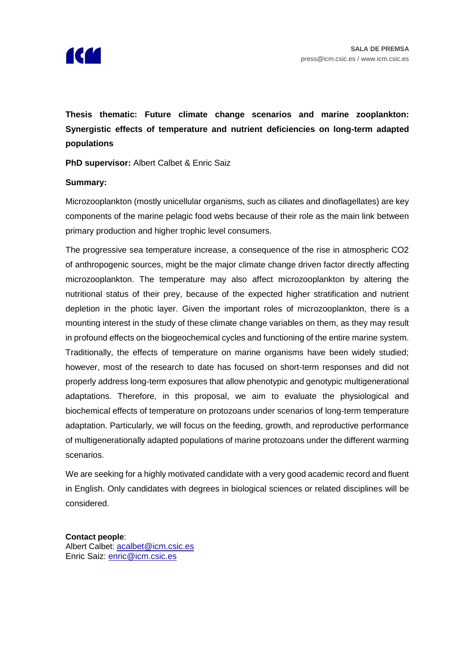

**Thesis thematic: Future climate change scenarios and marine zooplankton: Synergistic effects of temperature and nutrient deficiencies on long-term adapted populations**

**PhD supervisor:** Albert Calbet & Enric Saiz

#### **Summary:**

Microzooplankton (mostly unicellular organisms, such as ciliates and dinoflagellates) are key components of the marine pelagic food webs because of their role as the main link between primary production and higher trophic level consumers.

The progressive sea temperature increase, a consequence of the rise in atmospheric CO2 of anthropogenic sources, might be the major climate change driven factor directly affecting microzooplankton. The temperature may also affect microzooplankton by altering the nutritional status of their prey, because of the expected higher stratification and nutrient depletion in the photic layer. Given the important roles of microzooplankton, there is a mounting interest in the study of these climate change variables on them, as they may result in profound effects on the biogeochemical cycles and functioning of the entire marine system. Traditionally, the effects of temperature on marine organisms have been widely studied; however, most of the research to date has focused on short-term responses and did not properly address long-term exposures that allow phenotypic and genotypic multigenerational adaptations. Therefore, in this proposal, we aim to evaluate the physiological and biochemical effects of temperature on protozoans under scenarios of long-term temperature adaptation. Particularly, we will focus on the feeding, growth, and reproductive performance of multigenerationally adapted populations of marine protozoans under the different warming scenarios.

We are seeking for a highly motivated candidate with a very good academic record and fluent in English. Only candidates with degrees in biological sciences or related disciplines will be considered.

**Contact people**: Albert Calbet: [acalbet@icm.csic.es](mailto:acalbet@icm.csic.es) Enric Saiz: [enric@icm.csic.es](mailto:enric@icm.csic.es)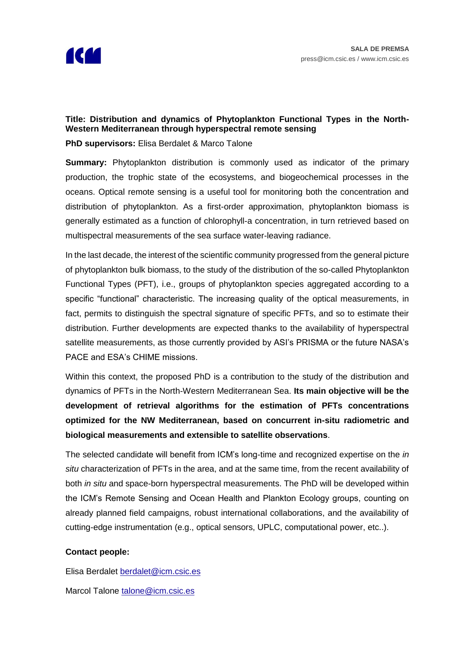

### **Title: Distribution and dynamics of Phytoplankton Functional Types in the North-Western Mediterranean through hyperspectral remote sensing**

**PhD supervisors:** Elisa Berdalet & Marco Talone

**Summary:** Phytoplankton distribution is commonly used as indicator of the primary production, the trophic state of the ecosystems, and biogeochemical processes in the oceans. Optical remote sensing is a useful tool for monitoring both the concentration and distribution of phytoplankton. As a first-order approximation, phytoplankton biomass is generally estimated as a function of chlorophyll-a concentration, in turn retrieved based on multispectral measurements of the sea surface water-leaving radiance.

In the last decade, the interest of the scientific community progressed from the general picture of phytoplankton bulk biomass, to the study of the distribution of the so-called Phytoplankton Functional Types (PFT), i.e., groups of phytoplankton species aggregated according to a specific "functional" characteristic. The increasing quality of the optical measurements, in fact, permits to distinguish the spectral signature of specific PFTs, and so to estimate their distribution. Further developments are expected thanks to the availability of hyperspectral satellite measurements, as those currently provided by ASI's PRISMA or the future NASA's PACE and ESA's CHIME missions.

Within this context, the proposed PhD is a contribution to the study of the distribution and dynamics of PFTs in the North-Western Mediterranean Sea. **Its main objective will be the development of retrieval algorithms for the estimation of PFTs concentrations optimized for the NW Mediterranean, based on concurrent in-situ radiometric and biological measurements and extensible to satellite observations**.

The selected candidate will benefit from ICM's long-time and recognized expertise on the *in situ* characterization of PFTs in the area, and at the same time, from the recent availability of both *in situ* and space-born hyperspectral measurements. The PhD will be developed within the ICM's Remote Sensing and Ocean Health and Plankton Ecology groups, counting on already planned field campaigns, robust international collaborations, and the availability of cutting-edge instrumentation (e.g., optical sensors, UPLC, computational power, etc..).

#### **Contact people:**

Elisa Berdalet [berdalet@icm.csic.es](mailto:berdalet@icm.csic.es)

Marcol Talone [talone@icm.csic.es](mailto:talone@icm.csic.es)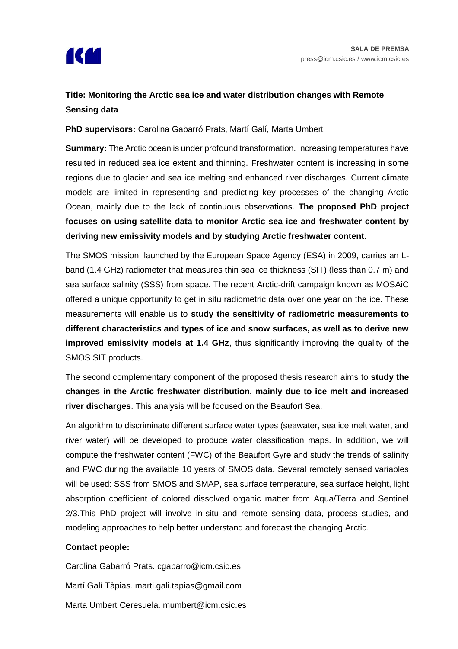

# **Title: Monitoring the Arctic sea ice and water distribution changes with Remote Sensing data**

**PhD supervisors:** Carolina Gabarró Prats, Martí Galí, Marta Umbert

**Summary:** The Arctic ocean is under profound transformation. Increasing temperatures have resulted in reduced sea ice extent and thinning. Freshwater content is increasing in some regions due to glacier and sea ice melting and enhanced river discharges. Current climate models are limited in representing and predicting key processes of the changing Arctic Ocean, mainly due to the lack of continuous observations. **The proposed PhD project focuses on using satellite data to monitor Arctic sea ice and freshwater content by deriving new emissivity models and by studying Arctic freshwater content.**

The SMOS mission, launched by the European Space Agency (ESA) in 2009, carries an Lband (1.4 GHz) radiometer that measures thin sea ice thickness (SIT) (less than 0.7 m) and sea surface salinity (SSS) from space. The recent Arctic-drift campaign known as MOSAiC offered a unique opportunity to get in situ radiometric data over one year on the ice. These measurements will enable us to **study the sensitivity of radiometric measurements to different characteristics and types of ice and snow surfaces, as well as to derive new improved emissivity models at 1.4 GHz**, thus significantly improving the quality of the SMOS SIT products.

The second complementary component of the proposed thesis research aims to **study the changes in the Arctic freshwater distribution, mainly due to ice melt and increased river discharges**. This analysis will be focused on the Beaufort Sea.

An algorithm to discriminate different surface water types (seawater, sea ice melt water, and river water) will be developed to produce water classification maps. In addition, we will compute the freshwater content (FWC) of the Beaufort Gyre and study the trends of salinity and FWC during the available 10 years of SMOS data. Several remotely sensed variables will be used: SSS from SMOS and SMAP, sea surface temperature, sea surface height, light absorption coefficient of colored dissolved organic matter from Aqua/Terra and Sentinel 2/3.This PhD project will involve in-situ and remote sensing data, process studies, and modeling approaches to help better understand and forecast the changing Arctic.

#### **Contact people:**

Carolina Gabarró Prats. cgabarro@icm.csic.es Martí Galí Tàpias. marti.gali.tapias@gmail.com Marta Umbert Ceresuela. mumbert@icm.csic.es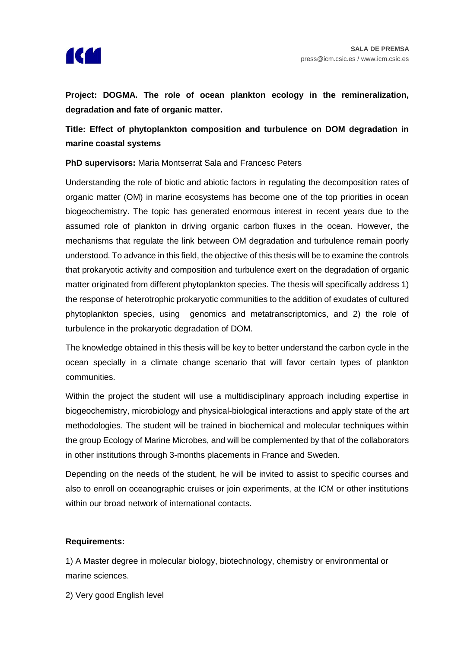

**Project: DOGMA. The role of ocean plankton ecology in the remineralization, degradation and fate of organic matter.**

# **Title: Effect of phytoplankton composition and turbulence on DOM degradation in marine coastal systems**

**PhD supervisors:** Maria Montserrat Sala and Francesc Peters

Understanding the role of biotic and abiotic factors in regulating the decomposition rates of organic matter (OM) in marine ecosystems has become one of the top priorities in ocean biogeochemistry. The topic has generated enormous interest in recent years due to the assumed role of plankton in driving organic carbon fluxes in the ocean. However, the mechanisms that regulate the link between OM degradation and turbulence remain poorly understood. To advance in this field, the objective of this thesis will be to examine the controls that prokaryotic activity and composition and turbulence exert on the degradation of organic matter originated from different phytoplankton species. The thesis will specifically address 1) the response of heterotrophic prokaryotic communities to the addition of exudates of cultured phytoplankton species, using genomics and metatranscriptomics, and 2) the role of turbulence in the prokaryotic degradation of DOM.

The knowledge obtained in this thesis will be key to better understand the carbon cycle in the ocean specially in a climate change scenario that will favor certain types of plankton communities.

Within the project the student will use a multidisciplinary approach including expertise in biogeochemistry, microbiology and physical-biological interactions and apply state of the art methodologies. The student will be trained in biochemical and molecular techniques within the group Ecology of Marine Microbes, and will be complemented by that of the collaborators in other institutions through 3-months placements in France and Sweden.

Depending on the needs of the student, he will be invited to assist to specific courses and also to enroll on oceanographic cruises or join experiments, at the ICM or other institutions within our broad network of international contacts.

## **Requirements:**

1) A Master degree in molecular biology, biotechnology, chemistry or environmental or marine sciences.

2) Very good English level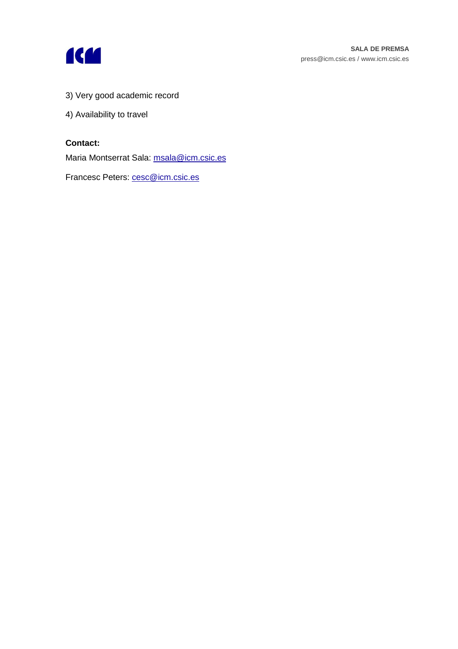

- 3) Very good academic record
- 4) Availability to travel

## **Contact:**

Maria Montserrat Sala: [msala@icm.csic.es](mailto:msala@icm.csic.es)

Francesc Peters: [cesc@icm.csic.es](mailto:cesc@icm.csic.es)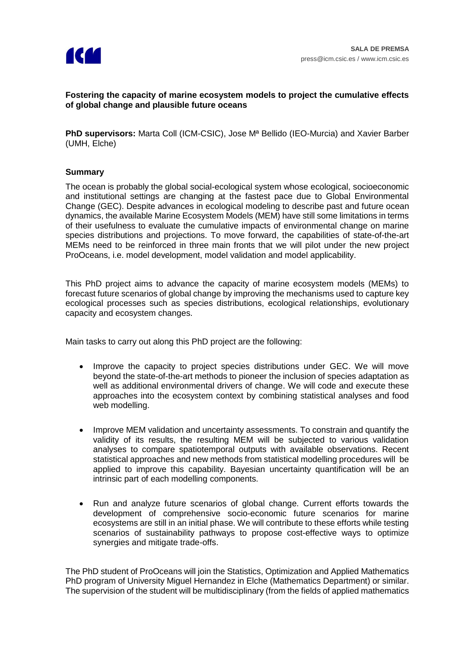

#### **Fostering the capacity of marine ecosystem models to project the cumulative effects of global change and plausible future oceans**

**PhD supervisors:** Marta Coll (ICM-CSIC), Jose Mª Bellido (IEO-Murcia) and Xavier Barber (UMH, Elche)

#### **Summary**

The ocean is probably the global social-ecological system whose ecological, socioeconomic and institutional settings are changing at the fastest pace due to Global Environmental Change (GEC). Despite advances in ecological modeling to describe past and future ocean dynamics, the available Marine Ecosystem Models (MEM) have still some limitations in terms of their usefulness to evaluate the cumulative impacts of environmental change on marine species distributions and projections. To move forward, the capabilities of state-of-the-art MEMs need to be reinforced in three main fronts that we will pilot under the new project ProOceans, i.e. model development, model validation and model applicability.

This PhD project aims to advance the capacity of marine ecosystem models (MEMs) to forecast future scenarios of global change by improving the mechanisms used to capture key ecological processes such as species distributions, ecological relationships, evolutionary capacity and ecosystem changes.

Main tasks to carry out along this PhD project are the following:

- Improve the capacity to project species distributions under GEC. We will move beyond the state-of-the-art methods to pioneer the inclusion of species adaptation as well as additional environmental drivers of change. We will code and execute these approaches into the ecosystem context by combining statistical analyses and food web modelling.
- Improve MEM validation and uncertainty assessments. To constrain and quantify the validity of its results, the resulting MEM will be subjected to various validation analyses to compare spatiotemporal outputs with available observations. Recent statistical approaches and new methods from statistical modelling procedures will be applied to improve this capability. Bayesian uncertainty quantification will be an intrinsic part of each modelling components.
- Run and analyze future scenarios of global change. Current efforts towards the development of comprehensive socio-economic future scenarios for marine ecosystems are still in an initial phase. We will contribute to these efforts while testing scenarios of sustainability pathways to propose cost-effective ways to optimize synergies and mitigate trade-offs.

The PhD student of ProOceans will join the Statistics, Optimization and Applied Mathematics PhD program of University Miguel Hernandez in Elche (Mathematics Department) or similar. The supervision of the student will be multidisciplinary (from the fields of applied mathematics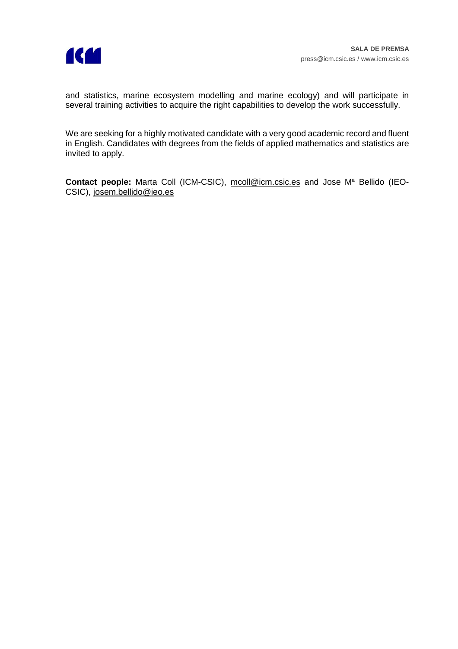

and statistics, marine ecosystem modelling and marine ecology) and will participate in several training activities to acquire the right capabilities to develop the work successfully.

We are seeking for a highly motivated candidate with a very good academic record and fluent in English. Candidates with degrees from the fields of applied mathematics and statistics are invited to apply.

**Contact people:** Marta Coll (ICM-CSIC), [mcoll@icm.csic.es](mailto:mcoll@icm.csic.es) and Jose Mª Bellido (IEO-CSIC), [josem.bellido@ieo.es](mailto:josem.bellido@ieo.es)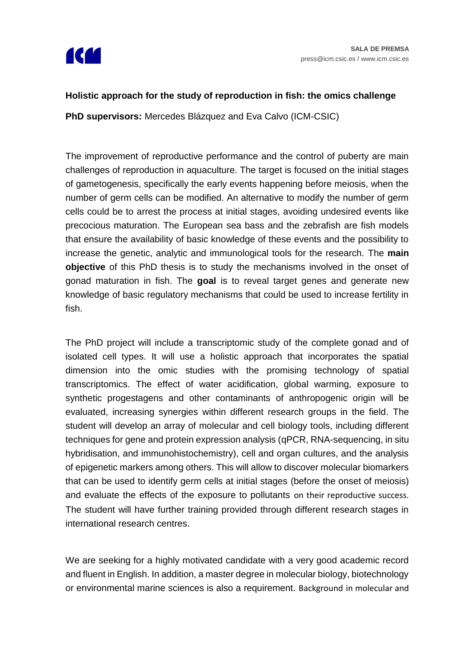

# **Holistic approach for the study of reproduction in fish: the omics challenge**

**PhD supervisors:** Mercedes Blázquez and Eva Calvo (ICM-CSIC)

The improvement of reproductive performance and the control of puberty are main challenges of reproduction in aquaculture. The target is focused on the initial stages of gametogenesis, specifically the early events happening before meiosis, when the number of germ cells can be modified. An alternative to modify the number of germ cells could be to arrest the process at initial stages, avoiding undesired events like precocious maturation. The European sea bass and the zebrafish are fish models that ensure the availability of basic knowledge of these events and the possibility to increase the genetic, analytic and immunological tools for the research. The **main objective** of this PhD thesis is to study the mechanisms involved in the onset of gonad maturation in fish. The **goal** is to reveal target genes and generate new knowledge of basic regulatory mechanisms that could be used to increase fertility in fish.

The PhD project will include a transcriptomic study of the complete gonad and of isolated cell types. It will use a holistic approach that incorporates the spatial dimension into the omic studies with the promising technology of spatial transcriptomics. The effect of water acidification, global warming, exposure to synthetic progestagens and other contaminants of anthropogenic origin will be evaluated, increasing synergies within different research groups in the field. The student will develop an array of molecular and cell biology tools, including different techniques for gene and protein expression analysis (qPCR, RNA-sequencing, in situ hybridisation, and immunohistochemistry), cell and organ cultures, and the analysis of epigenetic markers among others. This will allow to discover molecular biomarkers that can be used to identify germ cells at initial stages (before the onset of meiosis) and evaluate the effects of the exposure to pollutants on their reproductive success. The student will have further training provided through different research stages in international research centres.

We are seeking for a highly motivated candidate with a very good academic record and fluent in English. In addition, a master degree in molecular biology, biotechnology or environmental marine sciences is also a requirement. Background in molecular and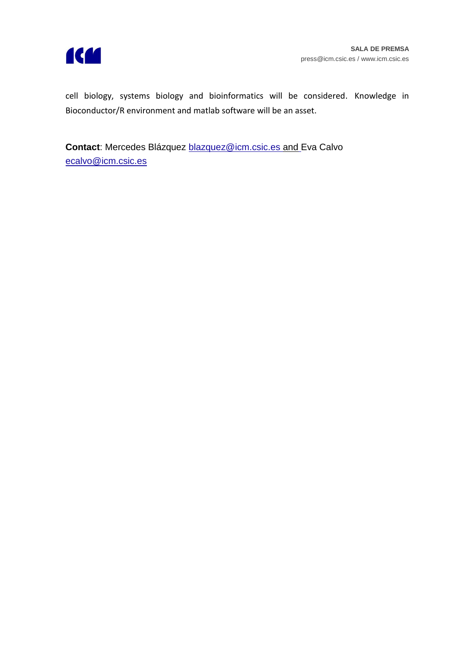

cell biology, systems biology and bioinformatics will be considered. Knowledge in Bioconductor/R environment and matlab software will be an asset.

**Contact**: Mercedes Blázquez [blazquez@icm.csic.es](mailto:blazquez@icm.csic.es) and Eva Calvo [ecalvo@icm.csic.es](mailto:ecalvo@icm.csic.es)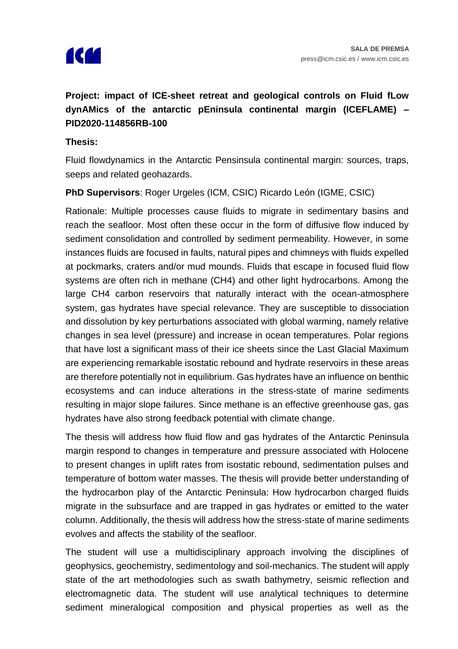

**Project: impact of ICE-sheet retreat and geological controls on Fluid fLow dynAMics of the antarctic pEninsula continental margin (ICEFLAME) – PID2020-114856RB-100**

## **Thesis:**

Fluid flowdynamics in the Antarctic Pensinsula continental margin: sources, traps, seeps and related geohazards.

## **PhD Supervisors**: Roger Urgeles (ICM, CSIC) Ricardo León (IGME, CSIC)

Rationale: Multiple processes cause fluids to migrate in sedimentary basins and reach the seafloor. Most often these occur in the form of diffusive flow induced by sediment consolidation and controlled by sediment permeability. However, in some instances fluids are focused in faults, natural pipes and chimneys with fluids expelled at pockmarks, craters and/or mud mounds. Fluids that escape in focused fluid flow systems are often rich in methane (CH4) and other light hydrocarbons. Among the large CH4 carbon reservoirs that naturally interact with the ocean-atmosphere system, gas hydrates have special relevance. They are susceptible to dissociation and dissolution by key perturbations associated with global warming, namely relative changes in sea level (pressure) and increase in ocean temperatures. Polar regions that have lost a significant mass of their ice sheets since the Last Glacial Maximum are experiencing remarkable isostatic rebound and hydrate reservoirs in these areas are therefore potentially not in equilibrium. Gas hydrates have an influence on benthic ecosystems and can induce alterations in the stress-state of marine sediments resulting in major slope failures. Since methane is an effective greenhouse gas, gas hydrates have also strong feedback potential with climate change.

The thesis will address how fluid flow and gas hydrates of the Antarctic Peninsula margin respond to changes in temperature and pressure associated with Holocene to present changes in uplift rates from isostatic rebound, sedimentation pulses and temperature of bottom water masses. The thesis will provide better understanding of the hydrocarbon play of the Antarctic Peninsula: How hydrocarbon charged fluids migrate in the subsurface and are trapped in gas hydrates or emitted to the water column. Additionally, the thesis will address how the stress-state of marine sediments evolves and affects the stability of the seafloor.

The student will use a multidisciplinary approach involving the disciplines of geophysics, geochemistry, sedimentology and soil-mechanics. The student will apply state of the art methodologies such as swath bathymetry, seismic reflection and electromagnetic data. The student will use analytical techniques to determine sediment mineralogical composition and physical properties as well as the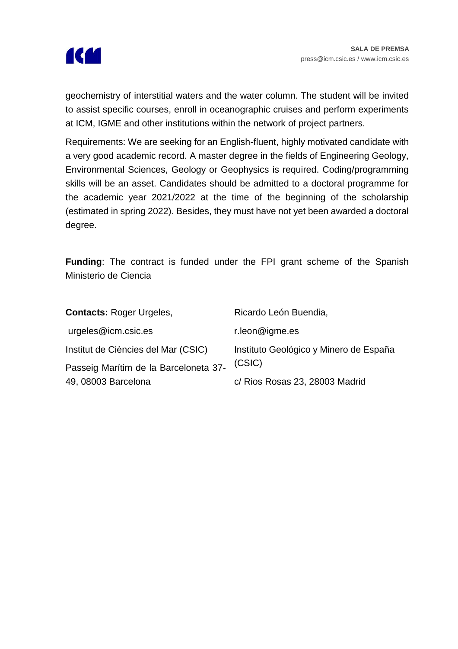

geochemistry of interstitial waters and the water column. The student will be invited to assist specific courses, enroll in oceanographic cruises and perform experiments at ICM, IGME and other institutions within the network of project partners.

Requirements: We are seeking for an English-fluent, highly motivated candidate with a very good academic record. A master degree in the fields of Engineering Geology, Environmental Sciences, Geology or Geophysics is required. Coding/programming skills will be an asset. Candidates should be admitted to a doctoral programme for the academic year 2021/2022 at the time of the beginning of the scholarship (estimated in spring 2022). Besides, they must have not yet been awarded a doctoral degree.

**Funding**: The contract is funded under the FPI grant scheme of the Spanish Ministerio de Ciencia

| <b>Contacts: Roger Urgeles,</b>       | Ricardo León Buendia,                  |
|---------------------------------------|----------------------------------------|
| urgeles@icm.csic.es                   | $r$ .leon@igme.es                      |
| Institut de Ciències del Mar (CSIC)   | Instituto Geológico y Minero de España |
| Passeig Marítim de la Barceloneta 37- | (CSIC)                                 |
| 49, 08003 Barcelona                   | c/ Rios Rosas 23, 28003 Madrid         |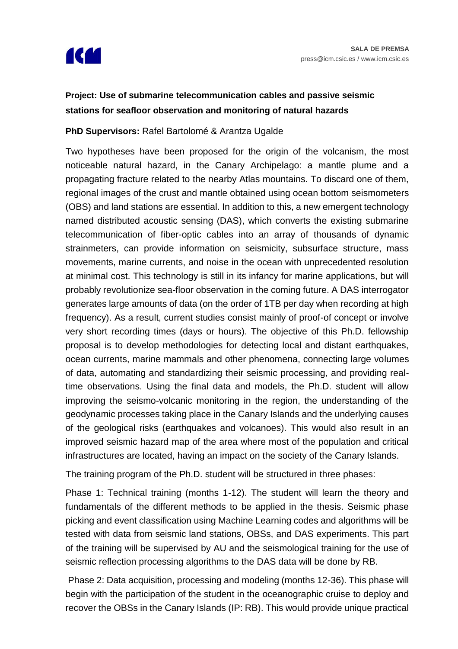

# **Project: Use of submarine telecommunication cables and passive seismic stations for seafloor observation and monitoring of natural hazards**

# **PhD Supervisors:** Rafel Bartolomé & Arantza Ugalde

Two hypotheses have been proposed for the origin of the volcanism, the most noticeable natural hazard, in the Canary Archipelago: a mantle plume and a propagating fracture related to the nearby Atlas mountains. To discard one of them, regional images of the crust and mantle obtained using ocean bottom seismometers (OBS) and land stations are essential. In addition to this, a new emergent technology named distributed acoustic sensing (DAS), which converts the existing submarine telecommunication of fiber-optic cables into an array of thousands of dynamic strainmeters, can provide information on seismicity, subsurface structure, mass movements, marine currents, and noise in the ocean with unprecedented resolution at minimal cost. This technology is still in its infancy for marine applications, but will probably revolutionize sea-floor observation in the coming future. A DAS interrogator generates large amounts of data (on the order of 1TB per day when recording at high frequency). As a result, current studies consist mainly of proof-of concept or involve very short recording times (days or hours). The objective of this Ph.D. fellowship proposal is to develop methodologies for detecting local and distant earthquakes, ocean currents, marine mammals and other phenomena, connecting large volumes of data, automating and standardizing their seismic processing, and providing realtime observations. Using the final data and models, the Ph.D. student will allow improving the seismo-volcanic monitoring in the region, the understanding of the geodynamic processes taking place in the Canary Islands and the underlying causes of the geological risks (earthquakes and volcanoes). This would also result in an improved seismic hazard map of the area where most of the population and critical infrastructures are located, having an impact on the society of the Canary Islands.

The training program of the Ph.D. student will be structured in three phases:

Phase 1: Technical training (months 1-12). The student will learn the theory and fundamentals of the different methods to be applied in the thesis. Seismic phase picking and event classification using Machine Learning codes and algorithms will be tested with data from seismic land stations, OBSs, and DAS experiments. This part of the training will be supervised by AU and the seismological training for the use of seismic reflection processing algorithms to the DAS data will be done by RB.

Phase 2: Data acquisition, processing and modeling (months 12-36). This phase will begin with the participation of the student in the oceanographic cruise to deploy and recover the OBSs in the Canary Islands (IP: RB). This would provide unique practical